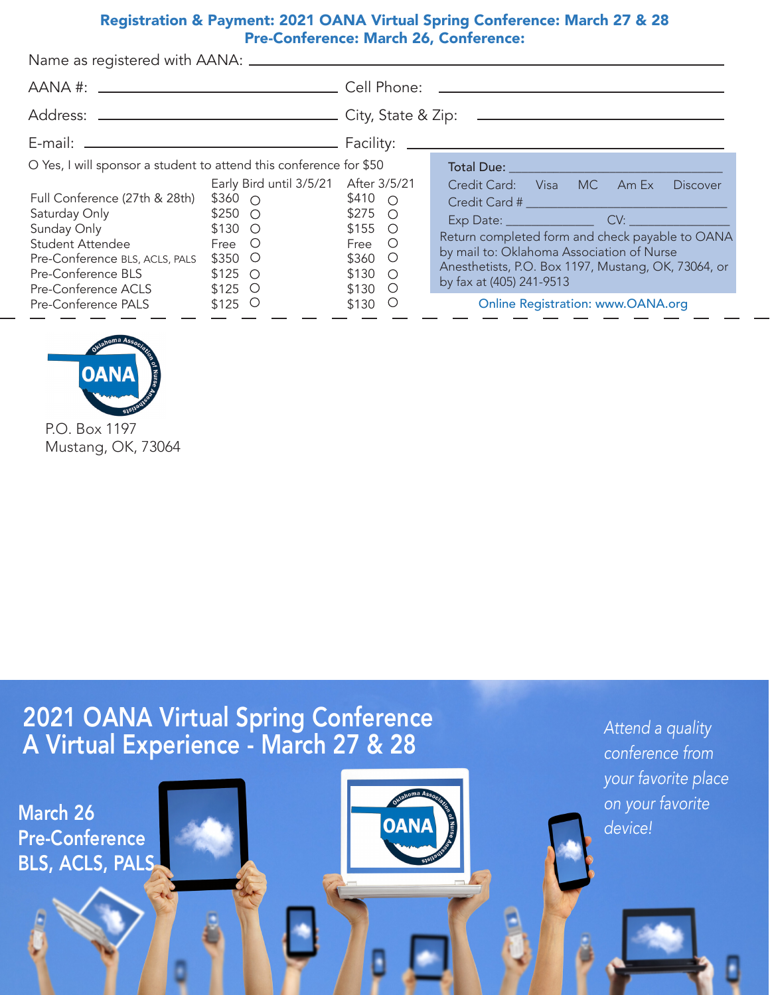# Registration & Payment: 2021 OANA Virtual Spring Conference: March 27 & 28 Pre-Conference: March 26, Conference:

| O Yes, I will sponsor a student to attend this conference for \$50<br>Full Conference (27th & 28th)<br>Saturday Only <b>Saturday</b> Only<br>Sunday Only <b>Sunday</b> Only<br>Student Attendee<br>Pre-Conference BLS, ACLS, PALS<br>Pre-Conference BLS | Early Bird until 3/5/21 After 3/5/21<br>$$360\circ$<br>$$250$ O<br>$$130$ O<br>Free O<br>$$350$ O<br>$$125$ O | \$410 $\circ$<br>$$275$ O<br>$$155$ O<br>Free O<br>$$360$ O<br>$$130$ O | Credit Card: Visa MC Am Ex<br><b>Discover</b><br>Return completed form and check payable to OANA<br>by mail to: Oklahoma Association of Nurse<br>Anesthetists, P.O. Box 1197, Mustang, OK, 73064, or<br>by fax at (405) 241-9513 |
|---------------------------------------------------------------------------------------------------------------------------------------------------------------------------------------------------------------------------------------------------------|---------------------------------------------------------------------------------------------------------------|-------------------------------------------------------------------------|----------------------------------------------------------------------------------------------------------------------------------------------------------------------------------------------------------------------------------|
| Pre-Conference ACLS<br>Pre-Conference PALS                                                                                                                                                                                                              | $$125$ O<br>$$125$ O                                                                                          | $$130$ O<br>\$130<br>$\circlearrowright$                                | <b>Online Registration: www.OANA.org</b>                                                                                                                                                                                         |